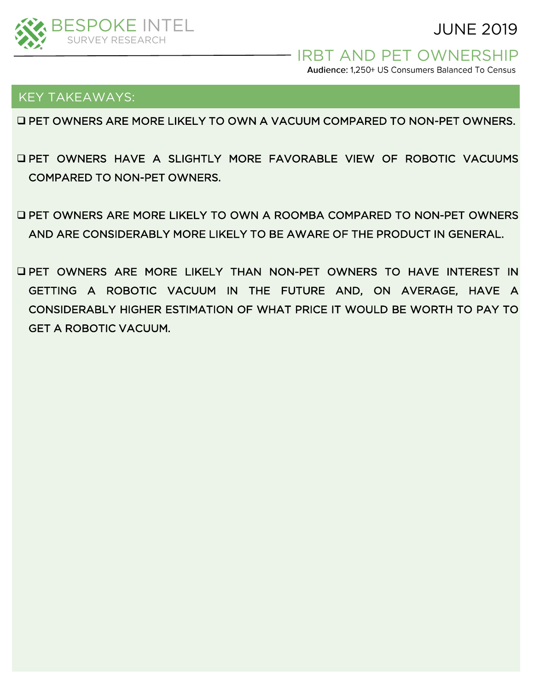

JUNE 2019

- **IRBT AND PET OWNERSHIP** 

Audience: 1,250+ US Consumers Balanced To Census

### KEY TAKEAWAYS:

❑ PET OWNERS ARE MORE LIKELY TO OWN A VACUUM COMPARED TO NON-PET OWNERS.

- ❑ PET OWNERS HAVE A SLIGHTLY MORE FAVORABLE VIEW OF ROBOTIC VACUUMS COMPARED TO NON-PET OWNERS.
- ❑ PET OWNERS ARE MORE LIKELY TO OWN A ROOMBA COMPARED TO NON-PET OWNERS AND ARE CONSIDERABLY MORE LIKELY TO BE AWARE OF THE PRODUCT IN GENERAL.
- ❑ PET OWNERS ARE MORE LIKELY THAN NON-PET OWNERS TO HAVE INTEREST IN GETTING A ROBOTIC VACUUM IN THE FUTURE AND, ON AVERAGE, HAVE A CONSIDERABLY HIGHER ESTIMATION OF WHAT PRICE IT WOULD BE WORTH TO PAY TO GET A ROBOTIC VACUUM.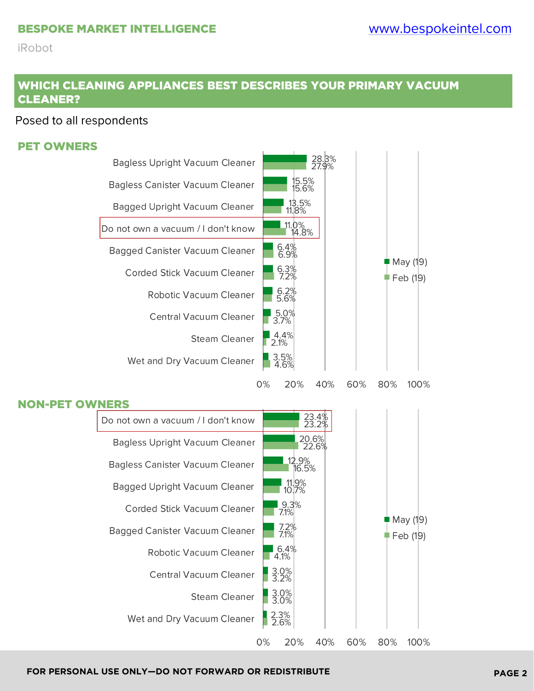## WHICH CLEANING APPLIANCES BEST DESCRIBES YOUR PRIMARY VACUUM CLEANER?

### Posed to all respondents

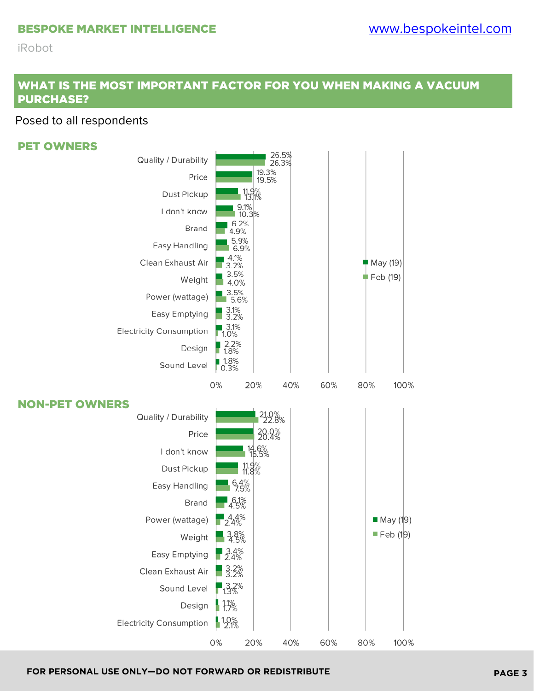#### BESPOKE MARKET INTELLIGENCE

#### **iRobot**

## WHAT IS THE MOST IMPORTANT FACTOR FOR YOU WHEN MAKING A VACUUM PURCHASE?

### Posed to all respondents

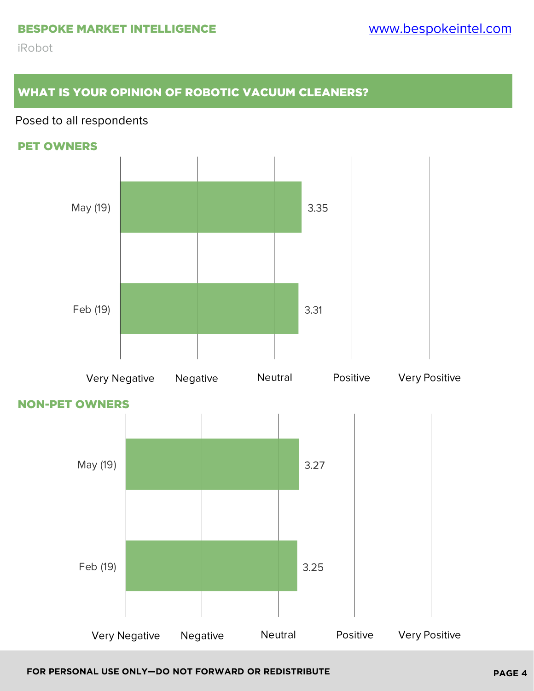# WHAT IS YOUR OPINION OF ROBOTIC VACUUM CLEANERS?

## Posed to all respondents







### NON-PET OWNERS

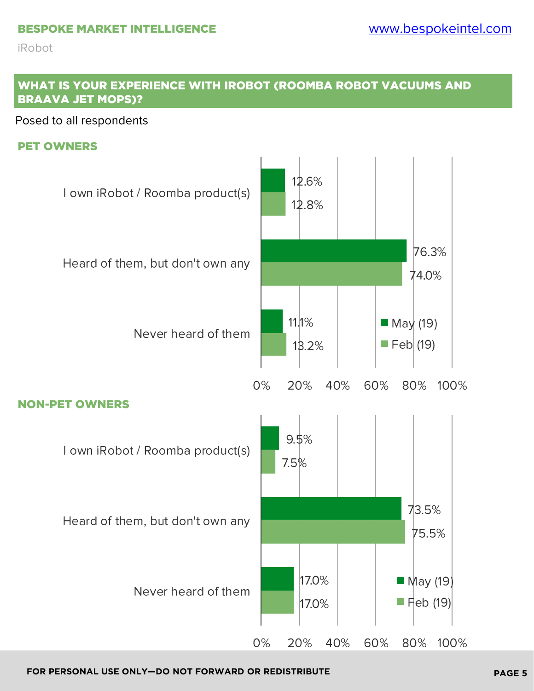## WHAT IS YOUR EXPERIENCE WITH IROBOT (ROOMBA ROBOT VACUUMS AND BRAAVA JET MOPS)?

Posed to all respondents

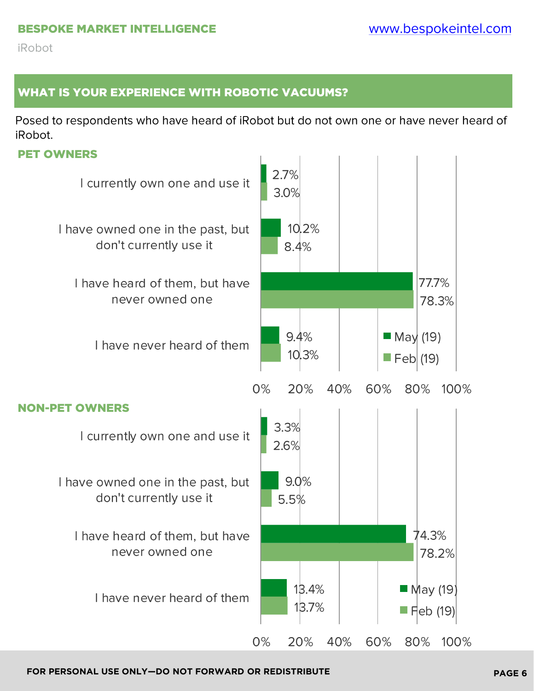# WHAT IS YOUR EXPERIENCE WITH ROBOTIC VACUUMS?

Posed to respondents who have heard of iRobot but do not own one or have never heard of iRobot.

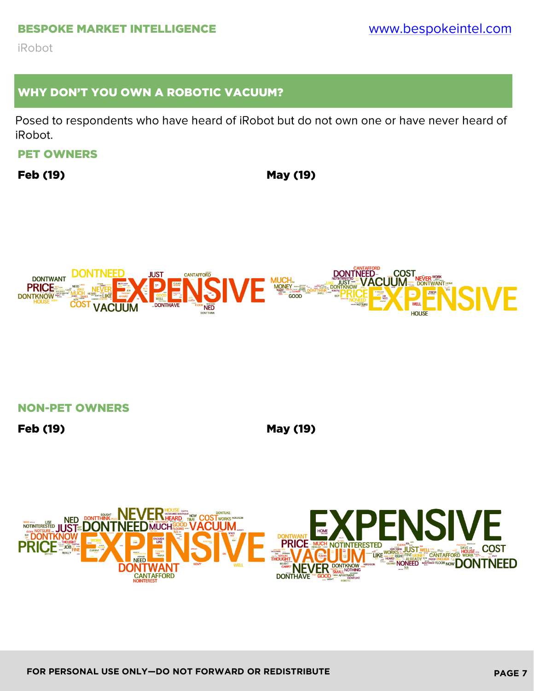#### BESPOKE MARKET INTELLIGENCE

**iRobot** 

## WHY DON'T YOU OWN A ROBOTIC VACUUM?

Posed to respondents who have heard of iRobot but do not own one or have never heard of iRobot.

### PET OWNERS

Feb (19) May (19)



NON-PET OWNERS

Feb (19) May (19)

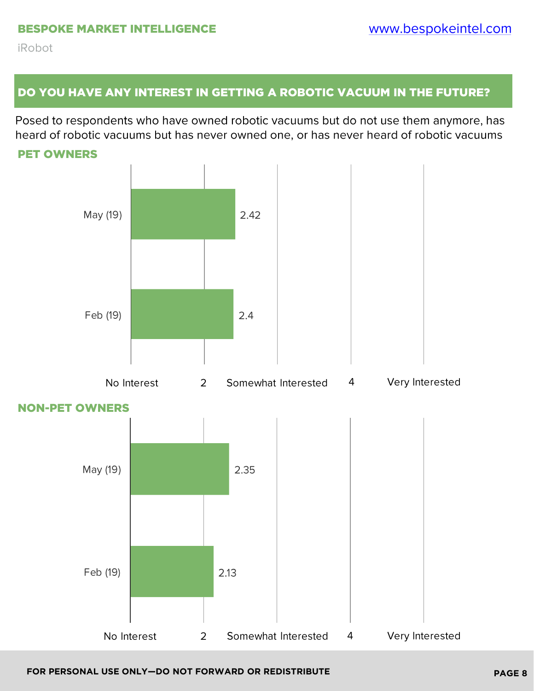## DO YOU HAVE ANY INTEREST IN GETTING A ROBOTIC VACUUM IN THE FUTURE?

Posed to respondents who have owned robotic vacuums but do not use them anymore, has heard of robotic vacuums but has never owned one, or has never heard of robotic vacuums

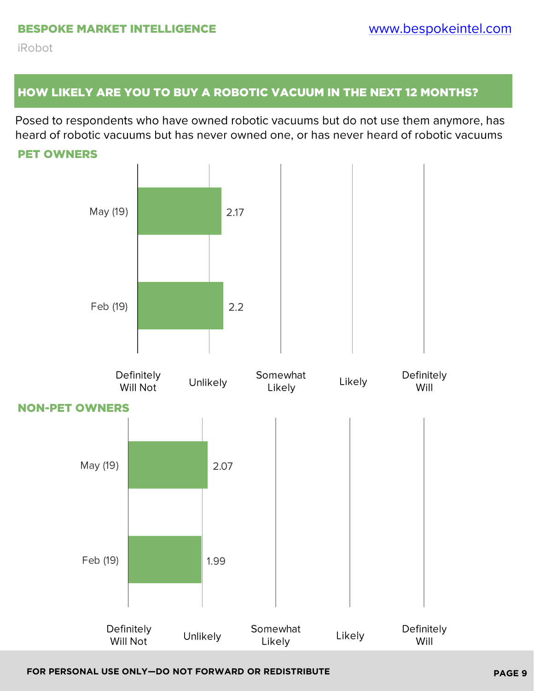# HOW LIKELY ARE YOU TO BUY A ROBOTIC VACUUM IN THE NEXT 12 MONTHS?

Posed to respondents who have owned robotic vacuums but do not use them anymore, has heard of robotic vacuums but has never owned one, or has never heard of robotic vacuums